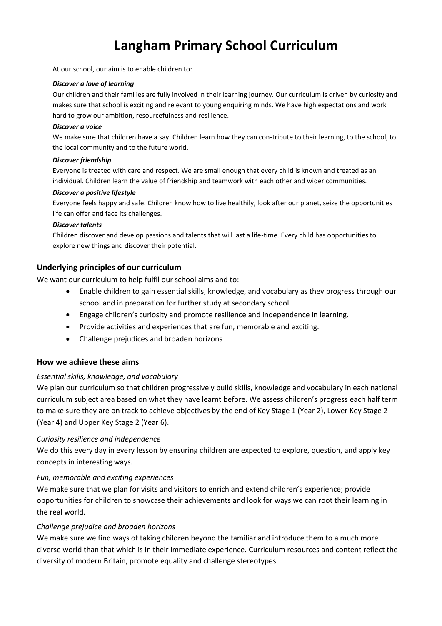# **Langham Primary School Curriculum**

At our school, our aim is to enable children to:

#### *Discover a love of learning*

Our children and their families are fully involved in their learning journey. Our curriculum is driven by curiosity and makes sure that school is exciting and relevant to young enquiring minds. We have high expectations and work hard to grow our ambition, resourcefulness and resilience.

#### *Discover a voice*

We make sure that children have a say. Children learn how they can con-tribute to their learning, to the school, to the local community and to the future world.

#### *Discover friendship*

Everyone is treated with care and respect. We are small enough that every child is known and treated as an individual. Children learn the value of friendship and teamwork with each other and wider communities.

#### *Discover a positive lifestyle*

Everyone feels happy and safe. Children know how to live healthily, look after our planet, seize the opportunities life can offer and face its challenges.

#### *Discover talents*

Children discover and develop passions and talents that will last a life-time. Every child has opportunities to explore new things and discover their potential.

#### **Underlying principles of our curriculum**

We want our curriculum to help fulfil our school aims and to:

- Enable children to gain essential skills, knowledge, and vocabulary as they progress through our school and in preparation for further study at secondary school.
- Engage children's curiosity and promote resilience and independence in learning.
- Provide activities and experiences that are fun, memorable and exciting.
- Challenge prejudices and broaden horizons

#### **How we achieve these aims**

#### *Essential skills, knowledge, and vocabulary*

We plan our curriculum so that children progressively build skills, knowledge and vocabulary in each national curriculum subject area based on what they have learnt before. We assess children's progress each half term to make sure they are on track to achieve objectives by the end of Key Stage 1 (Year 2), Lower Key Stage 2 (Year 4) and Upper Key Stage 2 (Year 6).

#### *Curiosity resilience and independence*

We do this every day in every lesson by ensuring children are expected to explore, question, and apply key concepts in interesting ways.

#### *Fun, memorable and exciting experiences*

We make sure that we plan for visits and visitors to enrich and extend children's experience; provide opportunities for children to showcase their achievements and look for ways we can root their learning in the real world.

#### *Challenge prejudice and broaden horizons*

We make sure we find ways of taking children beyond the familiar and introduce them to a much more diverse world than that which is in their immediate experience. Curriculum resources and content reflect the diversity of modern Britain, promote equality and challenge stereotypes.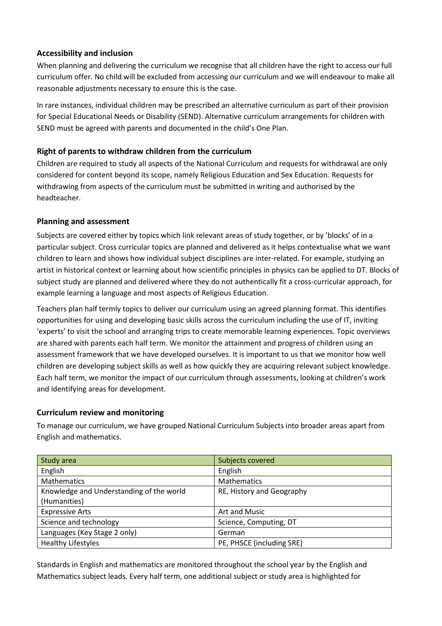## **Accessibility and inclusion**

When planning and delivering the curriculum we recognise that all children have the right to access our full curriculum offer. No child will be excluded from accessing our curriculum and we will endeavour to make all reasonable adjustments necessary to ensure this is the case.

In rare instances, individual children may be prescribed an alternative curriculum as part of their provision for Special Educational Needs or Disability (SEND). Alternative curriculum arrangements for children with SEND must be agreed with parents and documented in the child's One Plan.

# **Right of parents to withdraw children from the curriculum**

Children are required to study all aspects of the National Curriculum and requests for withdrawal are only considered for content beyond its scope, namely Religious Education and Sex Education. Requests for withdrawing from aspects of the curriculum must be submitted in writing and authorised by the headteacher.

## **Planning and assessment**

Subjects are covered either by topics which link relevant areas of study together, or by 'blocks' of in a particular subject. Cross curricular topics are planned and delivered as it helps contextualise what we want children to learn and shows how individual subject disciplines are inter-related. For example, studying an artist in historical context or learning about how scientific principles in physics can be applied to DT. Blocks of subject study are planned and delivered where they do not authentically fit a cross-curricular approach, for example learning a language and most aspects of Religious Education.

Teachers plan half termly topics to deliver our curriculum using an agreed planning format. This identifies opportunities for using and developing basic skills across the curriculum including the use of IT, inviting 'experts' to visit the school and arranging trips to create memorable learning experiences. Topic overviews are shared with parents each half term. We monitor the attainment and progress of children using an assessment framework that we have developed ourselves. It is important to us that we monitor how well children are developing subject skills as well as how quickly they are acquiring relevant subject knowledge. Each half term, we monitor the impact of our curriculum through assessments, looking at children's work and identifying areas for development.

# **Curriculum review and monitoring**

To manage our curriculum, we have grouped National Curriculum Subjects into broader areas apart from English and mathematics.

| Study area                               | Subjects covered          |
|------------------------------------------|---------------------------|
| English                                  | English                   |
| Mathematics                              | <b>Mathematics</b>        |
| Knowledge and Understanding of the world | RE, History and Geography |
| (Humanities)                             |                           |
| <b>Expressive Arts</b>                   | Art and Music             |
| Science and technology                   | Science, Computing, DT    |
| Languages (Key Stage 2 only)             | German                    |
| <b>Healthy Lifestyles</b>                | PE, PHSCE (including SRE) |

Standards in English and mathematics are monitored throughout the school year by the English and Mathematics subject leads. Every half term, one additional subject or study area is highlighted for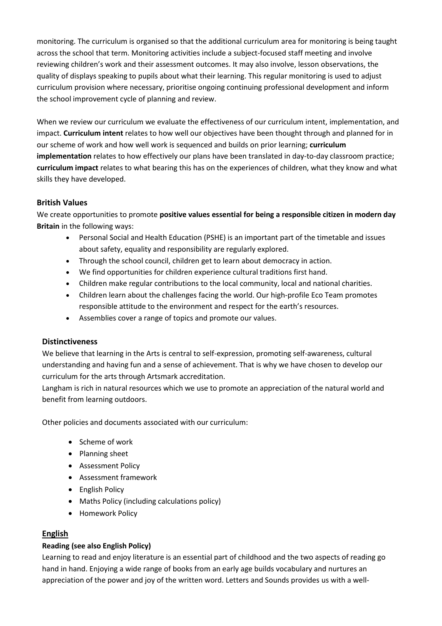monitoring. The curriculum is organised so that the additional curriculum area for monitoring is being taught across the school that term. Monitoring activities include a subject-focused staff meeting and involve reviewing children's work and their assessment outcomes. It may also involve, lesson observations, the quality of displays speaking to pupils about what their learning. This regular monitoring is used to adjust curriculum provision where necessary, prioritise ongoing continuing professional development and inform the school improvement cycle of planning and review.

When we review our curriculum we evaluate the effectiveness of our curriculum intent, implementation, and impact. **Curriculum intent** relates to how well our objectives have been thought through and planned for in our scheme of work and how well work is sequenced and builds on prior learning; **curriculum implementation** relates to how effectively our plans have been translated in day-to-day classroom practice; **curriculum impact** relates to what bearing this has on the experiences of children, what they know and what skills they have developed.

## **British Values**

We create opportunities to promote **positive values essential for being a responsible citizen in modern day Britain** in the following ways:

- Personal Social and Health Education (PSHE) is an important part of the timetable and issues about safety, equality and responsibility are regularly explored.
- Through the school council, children get to learn about democracy in action.
- We find opportunities for children experience cultural traditions first hand.
- Children make regular contributions to the local community, local and national charities.
- Children learn about the challenges facing the world. Our high-profile Eco Team promotes responsible attitude to the environment and respect for the earth's resources.
- Assemblies cover a range of topics and promote our values.

#### **Distinctiveness**

We believe that learning in the Arts is central to self-expression, promoting self-awareness, cultural understanding and having fun and a sense of achievement. That is why we have chosen to develop our curriculum for the arts through Artsmark accreditation.

Langham is rich in natural resources which we use to promote an appreciation of the natural world and benefit from learning outdoors.

Other policies and documents associated with our curriculum:

- Scheme of work
- Planning sheet
- Assessment Policy
- Assessment framework
- English Policy
- Maths Policy (including calculations policy)
- Homework Policy

# **English**

#### **Reading (see also English Policy)**

Learning to read and enjoy literature is an essential part of childhood and the two aspects of reading go hand in hand. Enjoying a wide range of books from an early age builds vocabulary and nurtures an appreciation of the power and joy of the written word. Letters and Sounds provides us with a well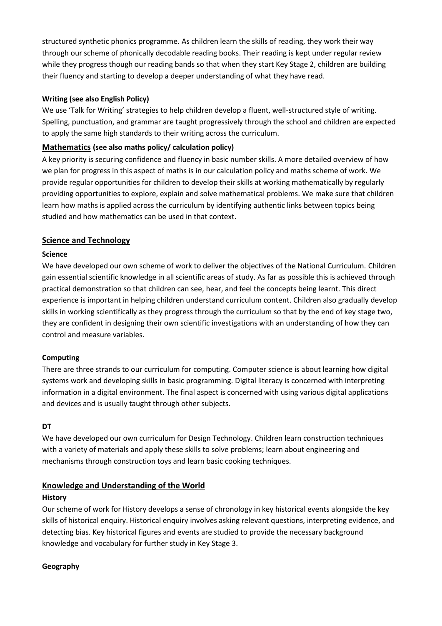structured synthetic phonics programme. As children learn the skills of reading, they work their way through our scheme of phonically decodable reading books. Their reading is kept under regular review while they progress though our reading bands so that when they start Key Stage 2, children are building their fluency and starting to develop a deeper understanding of what they have read.

#### **Writing (see also English Policy)**

We use 'Talk for Writing' strategies to help children develop a fluent, well-structured style of writing. Spelling, punctuation, and grammar are taught progressively through the school and children are expected to apply the same high standards to their writing across the curriculum.

## **Mathematics (see also maths policy/ calculation policy)**

A key priority is securing confidence and fluency in basic number skills. A more detailed overview of how we plan for progress in this aspect of maths is in our calculation policy and maths scheme of work. We provide regular opportunities for children to develop their skills at working mathematically by regularly providing opportunities to explore, explain and solve mathematical problems. We make sure that children learn how maths is applied across the curriculum by identifying authentic links between topics being studied and how mathematics can be used in that context.

# **Science and Technology**

#### **Science**

We have developed our own scheme of work to deliver the objectives of the National Curriculum. Children gain essential scientific knowledge in all scientific areas of study. As far as possible this is achieved through practical demonstration so that children can see, hear, and feel the concepts being learnt. This direct experience is important in helping children understand curriculum content. Children also gradually develop skills in working scientifically as they progress through the curriculum so that by the end of key stage two, they are confident in designing their own scientific investigations with an understanding of how they can control and measure variables.

#### **Computing**

There are three strands to our curriculum for computing. Computer science is about learning how digital systems work and developing skills in basic programming. Digital literacy is concerned with interpreting information in a digital environment. The final aspect is concerned with using various digital applications and devices and is usually taught through other subjects.

#### **DT**

We have developed our own curriculum for Design Technology. Children learn construction techniques with a variety of materials and apply these skills to solve problems; learn about engineering and mechanisms through construction toys and learn basic cooking techniques.

# **Knowledge and Understanding of the World**

#### **History**

Our scheme of work for History develops a sense of chronology in key historical events alongside the key skills of historical enquiry. Historical enquiry involves asking relevant questions, interpreting evidence, and detecting bias. Key historical figures and events are studied to provide the necessary background knowledge and vocabulary for further study in Key Stage 3.

#### **Geography**